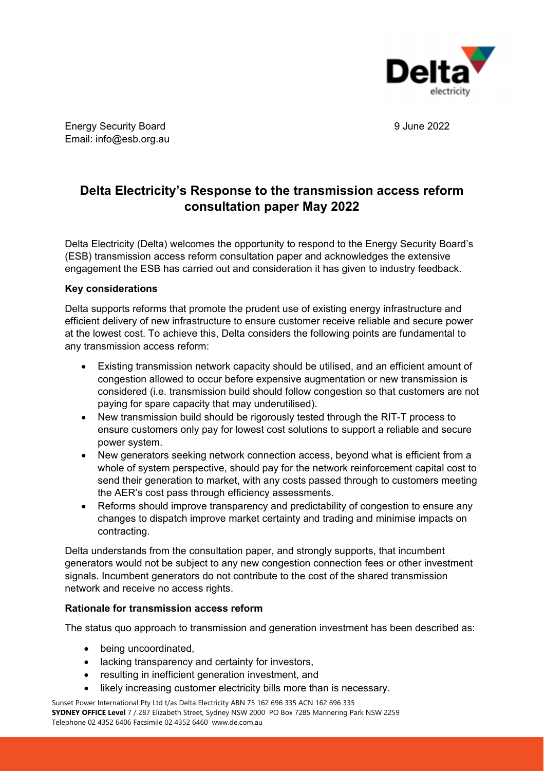

## **Delta Electricity's Response to the transmission access reform consultation paper May 2022**

Delta Electricity (Delta) welcomes the opportunity to respond to the Energy Security Board's (ESB) transmission access reform consultation paper and acknowledges the extensive engagement the ESB has carried out and consideration it has given to industry feedback.

#### **Key considerations**

Delta supports reforms that promote the prudent use of existing energy infrastructure and efficient delivery of new infrastructure to ensure customer receive reliable and secure power at the lowest cost. To achieve this, Delta considers the following points are fundamental to any transmission access reform:

- Existing transmission network capacity should be utilised, and an efficient amount of congestion allowed to occur before expensive augmentation or new transmission is considered (i.e. transmission build should follow congestion so that customers are not paying for spare capacity that may underutilised).
- New transmission build should be rigorously tested through the RIT-T process to ensure customers only pay for lowest cost solutions to support a reliable and secure power system.
- New generators seeking network connection access, beyond what is efficient from a whole of system perspective, should pay for the network reinforcement capital cost to send their generation to market, with any costs passed through to customers meeting the AER's cost pass through efficiency assessments.
- Reforms should improve transparency and predictability of congestion to ensure any changes to dispatch improve market certainty and trading and minimise impacts on contracting.

Delta understands from the consultation paper, and strongly supports, that incumbent generators would not be subject to any new congestion connection fees or other investment signals. Incumbent generators do not contribute to the cost of the shared transmission network and receive no access rights.

#### **Rationale for transmission access reform**

The status quo approach to transmission and generation investment has been described as:

- being uncoordinated,
- lacking transparency and certainty for investors,
- resulting in inefficient generation investment, and
- likely increasing customer electricity bills more than is necessary.

Sunset Power International Pty Ltd t/as Delta Electricity ABN 75 162 696 335 ACN 162 696 335 **SYDNEY OFFICE Level** 7 / 287 Elizabeth Street, Sydney NSW 2000 PO Box 7285 Mannering Park NSW 2259 Telephone 02 4352 6406 Facsimile 02 4352 6460 www.de.com.au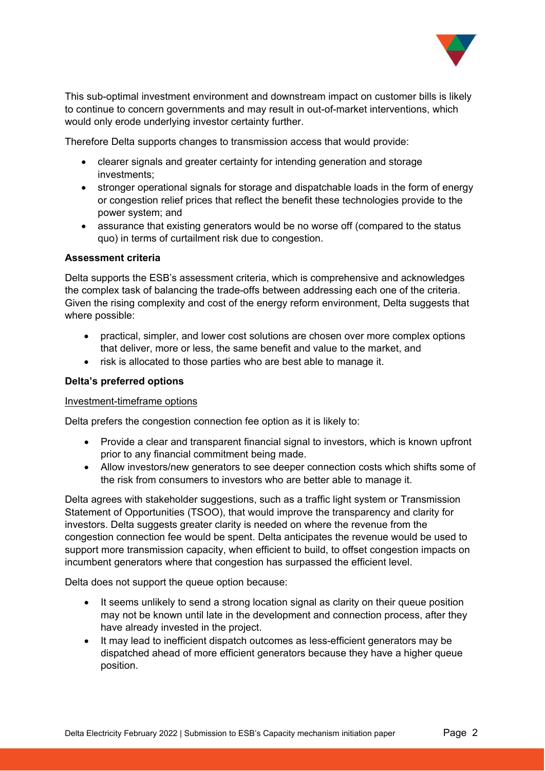

This sub-optimal investment environment and downstream impact on customer bills is likely to continue to concern governments and may result in out-of-market interventions, which would only erode underlying investor certainty further.

Therefore Delta supports changes to transmission access that would provide:

- clearer signals and greater certainty for intending generation and storage investments;
- stronger operational signals for storage and dispatchable loads in the form of energy or congestion relief prices that reflect the benefit these technologies provide to the power system; and
- assurance that existing generators would be no worse off (compared to the status quo) in terms of curtailment risk due to congestion.

#### **Assessment criteria**

Delta supports the ESB's assessment criteria, which is comprehensive and acknowledges the complex task of balancing the trade-offs between addressing each one of the criteria. Given the rising complexity and cost of the energy reform environment, Delta suggests that where possible:

- practical, simpler, and lower cost solutions are chosen over more complex options that deliver, more or less, the same benefit and value to the market, and
- risk is allocated to those parties who are best able to manage it.

#### **Delta's preferred options**

#### Investment-timeframe options

Delta prefers the congestion connection fee option as it is likely to:

- Provide a clear and transparent financial signal to investors, which is known upfront prior to any financial commitment being made.
- Allow investors/new generators to see deeper connection costs which shifts some of the risk from consumers to investors who are better able to manage it.

Delta agrees with stakeholder suggestions, such as a traffic light system or Transmission Statement of Opportunities (TSOO), that would improve the transparency and clarity for investors. Delta suggests greater clarity is needed on where the revenue from the congestion connection fee would be spent. Delta anticipates the revenue would be used to support more transmission capacity, when efficient to build, to offset congestion impacts on incumbent generators where that congestion has surpassed the efficient level.

Delta does not support the queue option because:

- It seems unlikely to send a strong location signal as clarity on their queue position may not be known until late in the development and connection process, after they have already invested in the project.
- It may lead to inefficient dispatch outcomes as less-efficient generators may be dispatched ahead of more efficient generators because they have a higher queue position.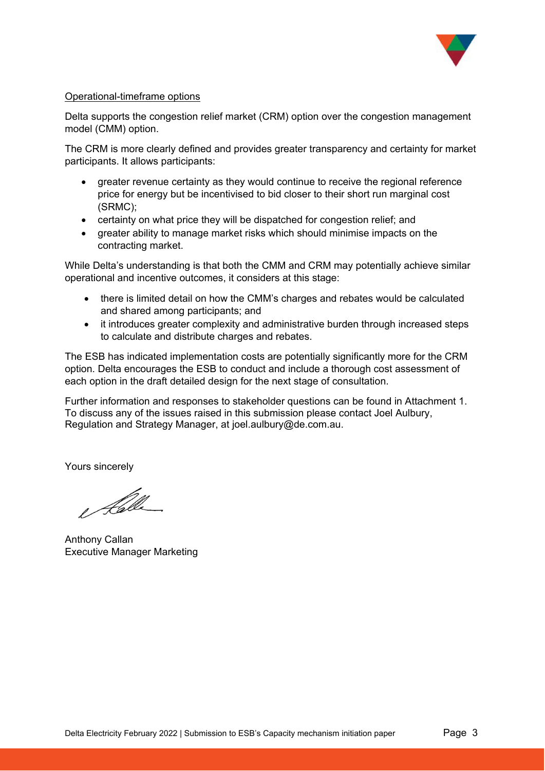

#### Operational-timeframe options

Delta supports the congestion relief market (CRM) option over the congestion management model (CMM) option.

The CRM is more clearly defined and provides greater transparency and certainty for market participants. It allows participants:

- greater revenue certainty as they would continue to receive the regional reference price for energy but be incentivised to bid closer to their short run marginal cost (SRMC);
- certainty on what price they will be dispatched for congestion relief; and
- greater ability to manage market risks which should minimise impacts on the contracting market.

While Delta's understanding is that both the CMM and CRM may potentially achieve similar operational and incentive outcomes, it considers at this stage:

- there is limited detail on how the CMM's charges and rebates would be calculated and shared among participants; and
- it introduces greater complexity and administrative burden through increased steps to calculate and distribute charges and rebates.

The ESB has indicated implementation costs are potentially significantly more for the CRM option. Delta encourages the ESB to conduct and include a thorough cost assessment of each option in the draft detailed design for the next stage of consultation.

Further information and responses to stakeholder questions can be found in Attachment 1. To discuss any of the issues raised in this submission please contact Joel Aulbury, Regulation and Strategy Manager, at joel.aulbury@de.com.au.

Yours sincerely

e Kølle

Anthony Callan Executive Manager Marketing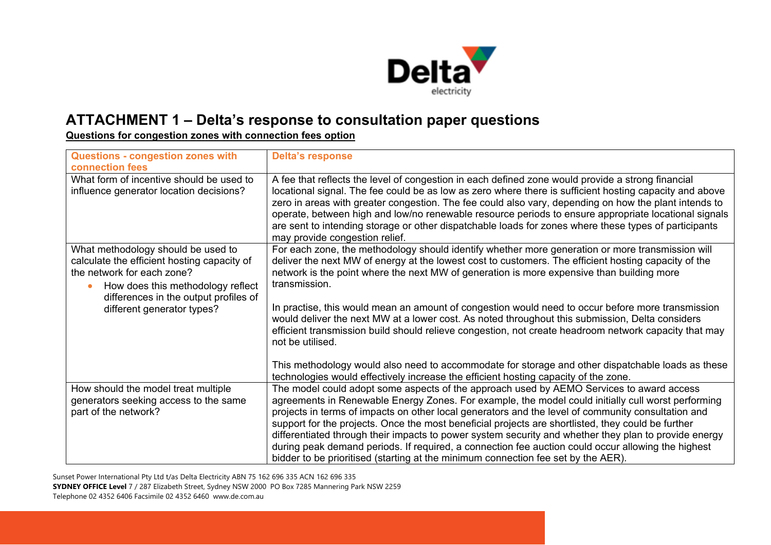

# **ATTACHMENT 1 – Delta's response to consultation paper questions**

**Questions for congestion zones with connection fees option** 

| Questions - congestion zones with<br>connection fees                                                                                                                                                                        | <b>Delta's response</b>                                                                                                                                                                                                                                                                                                                                                                                                                                                                                                                                                                                                                                                                                        |
|-----------------------------------------------------------------------------------------------------------------------------------------------------------------------------------------------------------------------------|----------------------------------------------------------------------------------------------------------------------------------------------------------------------------------------------------------------------------------------------------------------------------------------------------------------------------------------------------------------------------------------------------------------------------------------------------------------------------------------------------------------------------------------------------------------------------------------------------------------------------------------------------------------------------------------------------------------|
| What form of incentive should be used to<br>influence generator location decisions?                                                                                                                                         | A fee that reflects the level of congestion in each defined zone would provide a strong financial<br>locational signal. The fee could be as low as zero where there is sufficient hosting capacity and above<br>zero in areas with greater congestion. The fee could also vary, depending on how the plant intends to<br>operate, between high and low/no renewable resource periods to ensure appropriate locational signals<br>are sent to intending storage or other dispatchable loads for zones where these types of participants<br>may provide congestion relief.                                                                                                                                       |
| What methodology should be used to<br>calculate the efficient hosting capacity of<br>the network for each zone?<br>How does this methodology reflect<br>differences in the output profiles of<br>different generator types? | For each zone, the methodology should identify whether more generation or more transmission will<br>deliver the next MW of energy at the lowest cost to customers. The efficient hosting capacity of the<br>network is the point where the next MW of generation is more expensive than building more<br>transmission.<br>In practise, this would mean an amount of congestion would need to occur before more transmission<br>would deliver the next MW at a lower cost. As noted throughout this submission, Delta considers<br>efficient transmission build should relieve congestion, not create headroom network capacity that may<br>not be utilised.                                                    |
|                                                                                                                                                                                                                             | This methodology would also need to accommodate for storage and other dispatchable loads as these<br>technologies would effectively increase the efficient hosting capacity of the zone.                                                                                                                                                                                                                                                                                                                                                                                                                                                                                                                       |
| How should the model treat multiple<br>generators seeking access to the same<br>part of the network?                                                                                                                        | The model could adopt some aspects of the approach used by AEMO Services to award access<br>agreements in Renewable Energy Zones. For example, the model could initially cull worst performing<br>projects in terms of impacts on other local generators and the level of community consultation and<br>support for the projects. Once the most beneficial projects are shortlisted, they could be further<br>differentiated through their impacts to power system security and whether they plan to provide energy<br>during peak demand periods. If required, a connection fee auction could occur allowing the highest<br>bidder to be prioritised (starting at the minimum connection fee set by the AER). |

Sunset Power International Pty Ltd t/as Delta Electricity ABN 75 162 696 335 ACN 162 696 335 **SYDNEY OFFICE Level** 7 / 287 Elizabeth Street, Sydney NSW 2000 PO Box 7285 Mannering Park NSW 2259 Telephone 02 4352 6406 Facsimile 02 4352 6460 www.de.com.au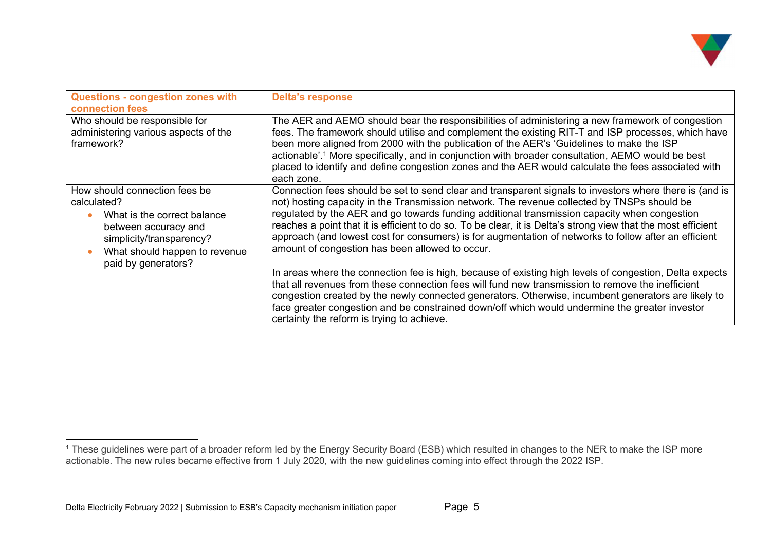

| Questions - congestion zones with<br><b>connection fees</b>                                                                                                                             | <b>Delta's response</b>                                                                                                                                                                                                                                                                                                                                                                                                                                                                                                                                                                                                                                                                                                                                                                                                                                                                                                                                                                                                                                    |
|-----------------------------------------------------------------------------------------------------------------------------------------------------------------------------------------|------------------------------------------------------------------------------------------------------------------------------------------------------------------------------------------------------------------------------------------------------------------------------------------------------------------------------------------------------------------------------------------------------------------------------------------------------------------------------------------------------------------------------------------------------------------------------------------------------------------------------------------------------------------------------------------------------------------------------------------------------------------------------------------------------------------------------------------------------------------------------------------------------------------------------------------------------------------------------------------------------------------------------------------------------------|
| Who should be responsible for<br>administering various aspects of the<br>framework?                                                                                                     | The AER and AEMO should bear the responsibilities of administering a new framework of congestion<br>fees. The framework should utilise and complement the existing RIT-T and ISP processes, which have<br>been more aligned from 2000 with the publication of the AER's 'Guidelines to make the ISP<br>actionable'. <sup>1</sup> More specifically, and in conjunction with broader consultation, AEMO would be best<br>placed to identify and define congestion zones and the AER would calculate the fees associated with<br>each zone.                                                                                                                                                                                                                                                                                                                                                                                                                                                                                                                  |
| How should connection fees be<br>calculated?<br>What is the correct balance<br>between accuracy and<br>simplicity/transparency?<br>What should happen to revenue<br>paid by generators? | Connection fees should be set to send clear and transparent signals to investors where there is (and is<br>not) hosting capacity in the Transmission network. The revenue collected by TNSPs should be<br>regulated by the AER and go towards funding additional transmission capacity when congestion<br>reaches a point that it is efficient to do so. To be clear, it is Delta's strong view that the most efficient<br>approach (and lowest cost for consumers) is for augmentation of networks to follow after an efficient<br>amount of congestion has been allowed to occur.<br>In areas where the connection fee is high, because of existing high levels of congestion, Delta expects<br>that all revenues from these connection fees will fund new transmission to remove the inefficient<br>congestion created by the newly connected generators. Otherwise, incumbent generators are likely to<br>face greater congestion and be constrained down/off which would undermine the greater investor<br>certainty the reform is trying to achieve. |

<sup>1</sup> These guidelines were part of a broader reform led by the Energy Security Board (ESB) which resulted in changes to the NER to make the ISP more actionable. The new rules became effective from 1 July 2020, with the new guidelines coming into effect through the 2022 ISP.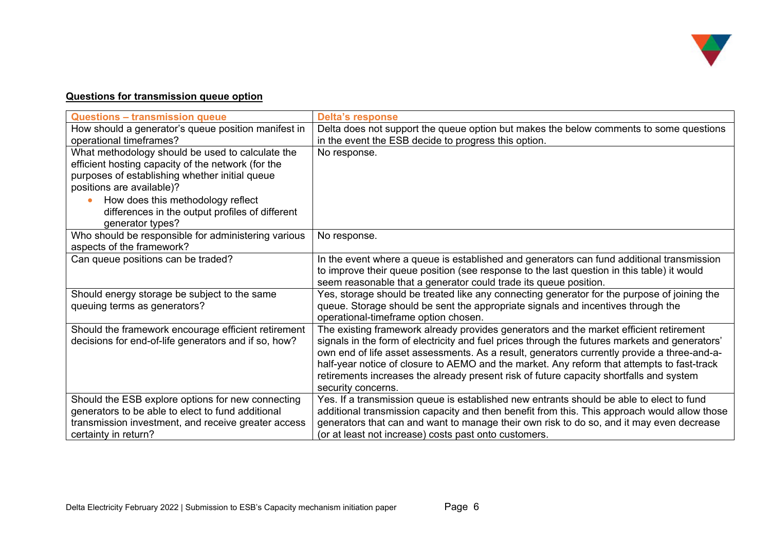

## **Questions for transmission queue option**

| <b>Questions - transmission queue</b>                                       | <b>Delta's response</b>                                                                        |
|-----------------------------------------------------------------------------|------------------------------------------------------------------------------------------------|
| How should a generator's queue position manifest in                         | Delta does not support the queue option but makes the below comments to some questions         |
| operational timeframes?                                                     | in the event the ESB decide to progress this option.                                           |
| What methodology should be used to calculate the                            | No response.                                                                                   |
| efficient hosting capacity of the network (for the                          |                                                                                                |
| purposes of establishing whether initial queue<br>positions are available)? |                                                                                                |
| How does this methodology reflect                                           |                                                                                                |
| differences in the output profiles of different                             |                                                                                                |
| generator types?                                                            |                                                                                                |
| Who should be responsible for administering various                         | No response.                                                                                   |
| aspects of the framework?                                                   |                                                                                                |
| Can queue positions can be traded?                                          | In the event where a queue is established and generators can fund additional transmission      |
|                                                                             | to improve their queue position (see response to the last question in this table) it would     |
|                                                                             | seem reasonable that a generator could trade its queue position.                               |
| Should energy storage be subject to the same                                | Yes, storage should be treated like any connecting generator for the purpose of joining the    |
| queuing terms as generators?                                                | queue. Storage should be sent the appropriate signals and incentives through the               |
|                                                                             | operational-timeframe option chosen.                                                           |
| Should the framework encourage efficient retirement                         | The existing framework already provides generators and the market efficient retirement         |
| decisions for end-of-life generators and if so, how?                        | signals in the form of electricity and fuel prices through the futures markets and generators' |
|                                                                             | own end of life asset assessments. As a result, generators currently provide a three-and-a-    |
|                                                                             | half-year notice of closure to AEMO and the market. Any reform that attempts to fast-track     |
|                                                                             | retirements increases the already present risk of future capacity shortfalls and system        |
|                                                                             | security concerns.                                                                             |
| Should the ESB explore options for new connecting                           | Yes. If a transmission queue is established new entrants should be able to elect to fund       |
| generators to be able to elect to fund additional                           | additional transmission capacity and then benefit from this. This approach would allow those   |
| transmission investment, and receive greater access                         | generators that can and want to manage their own risk to do so, and it may even decrease       |
| certainty in return?                                                        | (or at least not increase) costs past onto customers.                                          |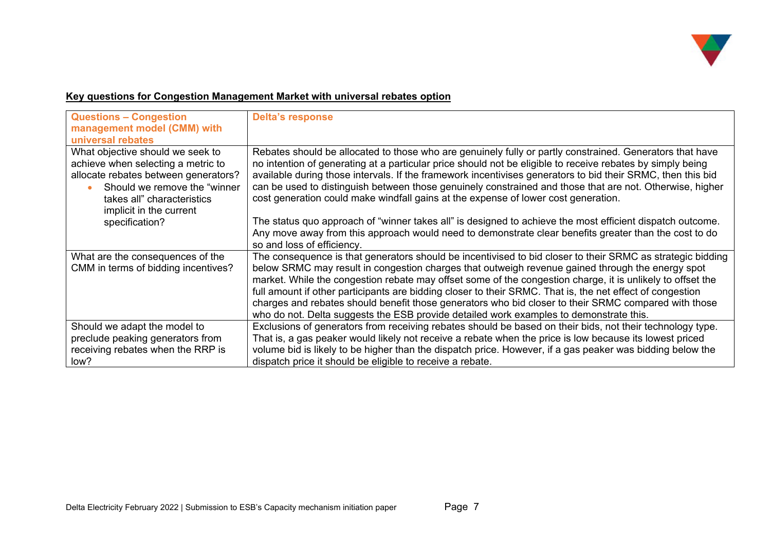

## **Key questions for Congestion Management Market with universal rebates option**

| <b>Questions - Congestion</b><br>management model (CMM) with<br>universal rebates                                                                                                                        | <b>Delta's response</b>                                                                                                                                                                                                                                                                                                                                                                                                                                                                                                                                                                                                                     |
|----------------------------------------------------------------------------------------------------------------------------------------------------------------------------------------------------------|---------------------------------------------------------------------------------------------------------------------------------------------------------------------------------------------------------------------------------------------------------------------------------------------------------------------------------------------------------------------------------------------------------------------------------------------------------------------------------------------------------------------------------------------------------------------------------------------------------------------------------------------|
| What objective should we seek to<br>achieve when selecting a metric to<br>allocate rebates between generators?<br>Should we remove the "winner"<br>takes all" characteristics<br>implicit in the current | Rebates should be allocated to those who are genuinely fully or partly constrained. Generators that have<br>no intention of generating at a particular price should not be eligible to receive rebates by simply being<br>available during those intervals. If the framework incentivises generators to bid their SRMC, then this bid<br>can be used to distinguish between those genuinely constrained and those that are not. Otherwise, higher<br>cost generation could make windfall gains at the expense of lower cost generation.                                                                                                     |
| specification?                                                                                                                                                                                           | The status quo approach of "winner takes all" is designed to achieve the most efficient dispatch outcome.<br>Any move away from this approach would need to demonstrate clear benefits greater than the cost to do<br>so and loss of efficiency.                                                                                                                                                                                                                                                                                                                                                                                            |
| What are the consequences of the<br>CMM in terms of bidding incentives?                                                                                                                                  | The consequence is that generators should be incentivised to bid closer to their SRMC as strategic bidding<br>below SRMC may result in congestion charges that outweigh revenue gained through the energy spot<br>market. While the congestion rebate may offset some of the congestion charge, it is unlikely to offset the<br>full amount if other participants are bidding closer to their SRMC. That is, the net effect of congestion<br>charges and rebates should benefit those generators who bid closer to their SRMC compared with those<br>who do not. Delta suggests the ESB provide detailed work examples to demonstrate this. |
| Should we adapt the model to<br>preclude peaking generators from<br>receiving rebates when the RRP is<br>low?                                                                                            | Exclusions of generators from receiving rebates should be based on their bids, not their technology type.<br>That is, a gas peaker would likely not receive a rebate when the price is low because its lowest priced<br>volume bid is likely to be higher than the dispatch price. However, if a gas peaker was bidding below the<br>dispatch price it should be eligible to receive a rebate.                                                                                                                                                                                                                                              |